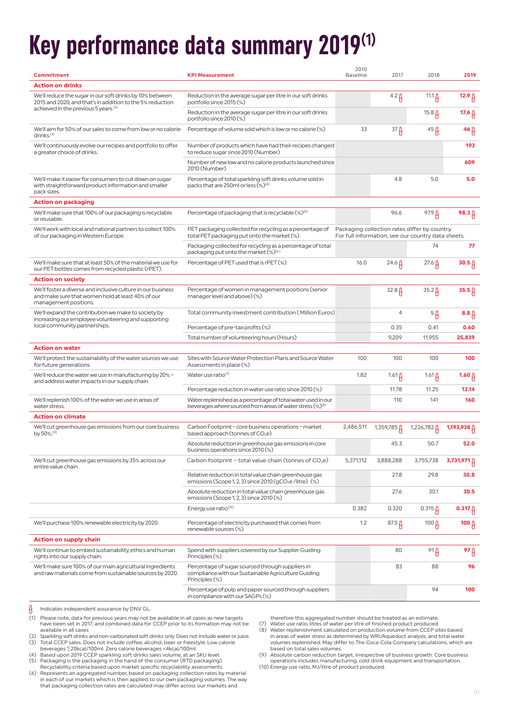# **Key performance data summary 2019 (1)**

| Commitment                                                                                                                                 | <b>KPI Measurement</b>                                                                                                                | 2010<br><b>Baseline</b> | 2017                     | 2018                                                                                                | 2019              |
|--------------------------------------------------------------------------------------------------------------------------------------------|---------------------------------------------------------------------------------------------------------------------------------------|-------------------------|--------------------------|-----------------------------------------------------------------------------------------------------|-------------------|
| <b>Action on drinks</b>                                                                                                                    |                                                                                                                                       |                         |                          |                                                                                                     |                   |
| We'll reduce the sugar in our soft drinks by 10% between<br>2015 and 2020, and that's in addition to the 5% reduction                      | Reduction in the average sugar per litre in our soft drinks<br>portfolio since 2015 (%)                                               |                         | $4.2 \beta$              | 11.1 $\beta$                                                                                        | $12.9 \upbeta$    |
| achieved in the previous 5 years. <sup>(2)</sup>                                                                                           | Reduction in the average sugar per litre in our soft drinks<br>portfolio since 2010 (%)                                               |                         |                          | 15.8 $\beta$                                                                                        | 17.6 $\beta$      |
| We'll aim for 50% of our sales to come from low or no calorie<br>drinks. $(3)$                                                             | Percentage of volume sold which is low or no calorie (%)                                                                              | 33                      | 37 <sub>fl</sub>         | $45 \,\mathrm{\r{A}}$                                                                               | 46 $\beta$        |
| We'll continuously evolve our recipes and portfolio to offer<br>a greater choice of drinks.                                                | Number of products which have had their recipes changed<br>to reduce sugar since 2010 (Number)                                        |                         |                          |                                                                                                     | 193               |
|                                                                                                                                            | Number of new low and no calorie products launched since<br>2010 (Number)                                                             |                         |                          |                                                                                                     | 609               |
| We'll make it easier for consumers to cut down on sugar<br>with straightforward product information and smaller<br>pack sizes.             | Percentage of total sparkling soft drinks volume sold in<br>packs that are 250ml or less (%) <sup>(4)</sup>                           |                         | 4.8                      | 5.0                                                                                                 | 5.0               |
| Action on packaging                                                                                                                        |                                                                                                                                       |                         |                          |                                                                                                     |                   |
| We'll make sure that 100% of our packaging is recyclable<br>or reusable.                                                                   | Percentage of packaging that is recyclable $(\%)^{(5)}$                                                                               |                         | 96.6                     | $97.9 \upbeta$                                                                                      | $98.3 \upbeta$    |
| We'll work with local and national partners to collect 100%<br>of our packaging in Western Europe.                                         | PET packaging collected for recycling as a percentage of<br>total PET packaging put onto the market (%)                               |                         |                          | Packaging collection rates differ by country.<br>For full information, see our country data sheets. |                   |
|                                                                                                                                            | Packaging collected for recycling as a percentage of total<br>packaging put onto the market (%) <sup>(6)</sup>                        |                         |                          | 74                                                                                                  | 77                |
| We'll make sure that at least 50% of the material we use for<br>our PET bottles comes from recycled plastic (rPET).                        | Percentage of PET used that is rPET (%)                                                                                               | 16.0                    | $24.6 \,\mu$             | $27.6 \,\mu$                                                                                        | 30.5 <sub>0</sub> |
| <b>Action on society</b>                                                                                                                   |                                                                                                                                       |                         |                          |                                                                                                     |                   |
| We'll foster a diverse and inclusive culture in our business<br>and make sure that women hold at least 40% of our<br>management positions. | Percentage of women in management positions (senior<br>manager level and above) (%)                                                   |                         | $32.8\beta$              | $35.2 \beta$                                                                                        | 35.5 <sub>β</sub> |
| We'll expand the contribution we make to society by<br>increasing our employee volunteering and supporting                                 | Total community investment contribution (Million Euros)                                                                               |                         | 4                        | $5\beta$                                                                                            | $8.8\beta$        |
| local community partnerships.                                                                                                              | Percentage of pre-tax profits (%)                                                                                                     |                         | 0.35                     | 0.41                                                                                                | 0.60              |
|                                                                                                                                            | Total number of volunteering hours (Hours)                                                                                            |                         | 9,209                    | 11,955                                                                                              | 25,839            |
| <b>Action on water</b>                                                                                                                     |                                                                                                                                       |                         |                          |                                                                                                     |                   |
| We'll protect the sustainability of the water sources we use<br>for future generations.                                                    | Sites with Source Water Protection Plans and Source Water<br>Assessments in place (%)                                                 | 100                     | 100                      | 100                                                                                                 | 100               |
| We'll reduce the water we use in manufacturing by 20% -<br>and address water impacts in our supply chain.                                  | Water use ratio(7)                                                                                                                    | 1.82                    | $1.61 \beta$             | $1.61 \mu$                                                                                          | 1.60 ျ            |
|                                                                                                                                            | Percentage reduction in water use ratio since 2010 (%)                                                                                |                         | 11.78                    | 11.25                                                                                               | 12.14             |
| We'll replenish 100% of the water we use in areas of<br>water stress.                                                                      | Water replenished as a percentage of total water used in our<br>beverages where sourced from areas of water stress (%) <sup>(8)</sup> |                         | 110                      | 141                                                                                                 | 160               |
| <b>Action on climate</b>                                                                                                                   |                                                                                                                                       |                         |                          |                                                                                                     |                   |
| We'll cut greenhouse gas emissions from our core business<br>by 50%. <sup>(9)</sup>                                                        | Carbon Footprint - core business operations - market<br>based approach (tonnes of $CO2e$ )                                            | 2,486,511               | 1,359,785 <mark>∆</mark> | $1,226,782 \upbeta$                                                                                 | 1,193,938 A       |
|                                                                                                                                            | Absolute reduction in greenhouse gas emissions in core<br>business operations since 2010 (%)                                          |                         | 45.3                     | 50.7                                                                                                | 52.0              |
| We'll cut greenhouse gas emissions by 35% across our<br>entire value chain.                                                                | Carbon footprint - total value chain (tonnes of $CO2e$ )                                                                              | 5,371,112               | 3,888,288                | 3,755,738                                                                                           | 3,731,971         |
|                                                                                                                                            | Relative reduction in total value chain greenhouse gas<br>emissions (Scope 1, 2, 3) since 2010 (gCO <sub>2</sub> e/litre) (%)         |                         | 27.8                     | 29.8                                                                                                | 30.8              |
|                                                                                                                                            | Absolute reduction in total value chain greenhouse gas<br>emissions (Scope 1, 2, 3) since 2010 (%)                                    |                         | 27.6                     | 30.1                                                                                                | 30.5              |
|                                                                                                                                            | Energy use ratio <sup>(10)</sup>                                                                                                      | 0.382                   | 0.320                    | $0.315 \,\mu$                                                                                       | 0.317 $\beta$     |
| We'll purchase 100% renewable electricity by 2020.                                                                                         | Percentage of electricity purchased that comes from<br>renewable sources (%)                                                          | 1.2                     | $87.5 \mu$               | 100 $\mu$                                                                                           | 100 $\beta$       |
| <b>Action on supply chain</b>                                                                                                              |                                                                                                                                       |                         |                          |                                                                                                     |                   |
|                                                                                                                                            |                                                                                                                                       |                         |                          |                                                                                                     |                   |
| We'll continue to embed sustainability, ethics and human<br>rights into our supply chain.                                                  | Spend with suppliers covered by our Supplier Guiding<br>Principles (%)                                                                |                         | 80                       | $91\beta$                                                                                           | 97 A              |
| We'll make sure 100% of our main agricultural ingredients<br>and raw materials come from sustainable sources by 2020.                      | Percentage of sugar sourced through suppliers in<br>compliance with our Sustainable Agriculture Guiding<br>Principles (%)             |                         | 83                       | 88                                                                                                  | 96                |

 $\beta$ Indicates independent assurance by DNV GL.

- (1) Please note, data for previous years may not be available in all cases as new targets have been set in 2017; and combined data for CCEP prior to its formation may not be available in all cases
- en and the state of the state of the sparkling soft drinks and non-carbonated soft drinks only. Does not include water or juice.<br>(3) Total CCEP sales. Does not include coffee, alcohol, beer or freestyle. Low calorie Total CCEP sales. Does not include coffee, alcohol, beer or freestyle. Low calorie
- beverages <\_20kcal/100ml. Zero calorie beverages <4kcal/100ml. (4) Based upon 2019 CCEP sparkling soft drinks sales volume, at an SKU level.
- (5) Packaging is the packaging in the hand of the consumer (RTD packaging). Recyclability criteria based upon market specific recyclability assessments.
- (6) Represents an aggregated number, based on packaging collection rates by material in each of our markets which is then applied to our own packaging volumes. The way that packaging collection rates are calculated may differ across our markets and

therefore this aggregated number should be treated as an estimate. (7) Water use ratio, litres of water per litre of finished product produced.

- 
- (8) Water replenishment calculated on production volume from CCEP sites based in areas of water stress as determined by WRI/Aqueduct analysis, and total water volumes replenished. May differ to The Coca-Cola Company calculations, which are based on total sales volumes.
- (9) Absolute carbon reduction target, irrespective of business growth. Core business

operations includes manufacturing, cold drink equipment and transportation. (10) Energy use ratio, MJ/litre of product produced.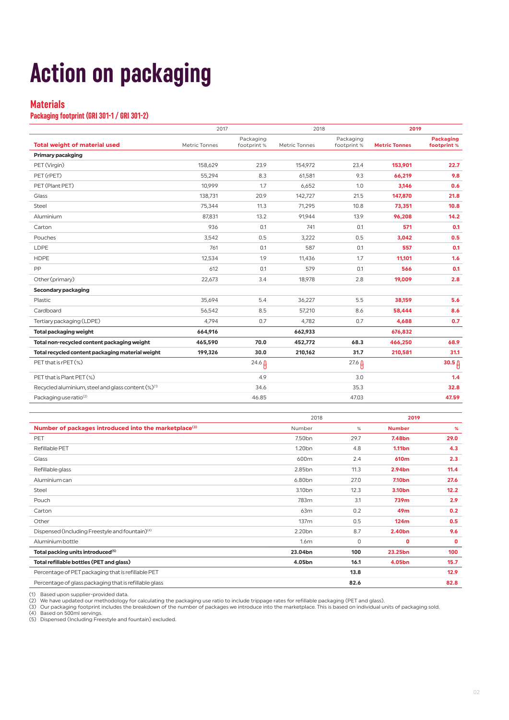# **Action on packaging**

### **Materials**

#### **Packaging footprint (GRI 301-1 / GRI 301-2)**

|                                                    | 2017          |                          | 2018          |                          | 2019                 |                                 |  |
|----------------------------------------------------|---------------|--------------------------|---------------|--------------------------|----------------------|---------------------------------|--|
| <b>Total weight of material used</b>               | Metric Tonnes | Packaging<br>footprint % | Metric Tonnes | Packaging<br>footprint % | <b>Metric Tonnes</b> | <b>Packaging</b><br>footprint % |  |
| <b>Primary pacakging</b>                           |               |                          |               |                          |                      |                                 |  |
| PET (Virgin)                                       | 158,629       | 23.9                     | 154.972       | 23.4                     | 153,901              | 22.7                            |  |
| PET (rPET)                                         | 55,294        | 8.3                      | 61.581        | 9.3                      | 66.219               | 9.8                             |  |
| PET (Plant PET)                                    | 10,999        | 1.7                      | 6,652         | 1.0                      | 3,146                | 0.6                             |  |
| Glass                                              | 138,731       | 20.9                     | 142,727       | 21.5                     | 147,870              | 21.8                            |  |
| Steel                                              | 75,344        | 11.3                     | 71,295        | 10.8                     | 73,351               | 10.8                            |  |
| Aluminium                                          | 87,831        | 13.2                     | 91,944        | 13.9                     | 96,208               | 14.2                            |  |
| Carton                                             | 936           | 0.1                      | 741           | 0.1                      | 571                  | 0.1                             |  |
| Pouches                                            | 3,542         | 0.5                      | 3,222         | 0.5                      | 3,042                | 0.5                             |  |
| <b>LDPE</b>                                        | 761           | 0.1                      | 587           | 0.1                      | 557                  | 0.1                             |  |
| <b>HDPE</b>                                        | 12,534        | 1.9                      | 11,436        | 1.7                      | 11,101               | 1.6                             |  |
| PP                                                 | 612           | 0.1                      | 579           | 0.1                      | 566                  | 0.1                             |  |
| Other (primary)                                    | 22,673        | 3.4                      | 18,978        | 2.8                      | 19,009               | 2.8                             |  |
| Secondary packaging                                |               |                          |               |                          |                      |                                 |  |
| Plastic                                            | 35.694        | 5.4                      | 36.227        | 5.5                      | 38.159               | 5.6                             |  |
| Cardboard                                          | 56,542        | 8.5                      | 57,210        | 8.6                      | 58,444               | 8.6                             |  |
| Tertiary packaging (LDPE)                          | 4.794         | 0.7                      | 4,782         | 0.7                      | 4,688                | 0.7                             |  |
| <b>Total packaging weight</b>                      | 664,916       |                          | 662,933       |                          | 676,832              |                                 |  |
| Total non-recycled content packaging weight        | 465,590       | 70.0                     | 452,772       | 68.3                     | 466,250              | 68.9                            |  |
| Total recycled content packaging material weight   | 199,326       | 30.0                     | 210,162       | 31.7                     | 210,581              | 31.1                            |  |
| PET that is rPET (%)                               |               | $24.6 \beta$             |               | $27.6 \beta$             |                      | 30.5 <sub>0</sub>               |  |
| PET that is Plant PET (%)                          |               | 4.9                      |               | 3.0                      |                      | 1.4                             |  |
| Recycled aluminium, steel and glass content (%)(1) |               | 34.6                     |               | 35.3                     |                      | 32.8                            |  |
| Packaging use ratio <sup>(2)</sup>                 |               | 46.85                    |               | 47.03                    |                      | 47.59                           |  |

|                                                                   | 2018               |      | 2019               |      |
|-------------------------------------------------------------------|--------------------|------|--------------------|------|
| Number of packages introduced into the marketplace <sup>(3)</sup> | Number             | $\%$ | <b>Number</b>      | %    |
| PET                                                               | 7.50 <sub>bn</sub> | 29.7 | 7.48 <sub>bn</sub> | 29.0 |
| Refillable PET                                                    | 1.20 <sub>bn</sub> | 4.8  | 1.11 <sub>bn</sub> | 4.3  |
| Glass                                                             | 600m               | 2.4  | 610 <sub>m</sub>   | 2.3  |
| Refillable glass                                                  | 2.85bn             | 11.3 | 2.94bn             | 11.4 |
| Aluminium can                                                     | 6.80 <sub>bn</sub> | 27.0 | 7.10 <sub>bn</sub> | 27.6 |
| Steel                                                             | 3.10 <sub>bn</sub> | 12.3 | 3.10 <sub>bn</sub> | 12.2 |
| Pouch                                                             | 783m               | 3.1  | 739m               | 2.9  |
| Carton                                                            | 63m                | 0.2  | 49m                | 0.2  |
| Other                                                             | 137 <sub>m</sub>   | 0.5  | 124m               | 0.5  |
| Dispensed (Including Freestyle and fountain) <sup>(4)</sup>       | 2.20 <sub>bn</sub> | 8.7  | 2.40 <sub>bn</sub> | 9.6  |
| Aluminium bottle                                                  | 1.6m               | 0    | O                  | 0    |
| Total packing units introduced <sup>(5)</sup>                     | 23.04bn            | 100  | 23.25bn            | 100  |
| Total refillable bottles (PET and glass)                          | 4.05bn             | 16.1 | 4.05bn             | 15.7 |
| Percentage of PET packaging that is refillable PET                |                    | 13.8 |                    | 12.9 |
| Percentage of glass packaging that is refillable glass            |                    | 82.6 |                    | 82.8 |

(1) Based upon supplier-provided data.<br>(2) We have updated our methodology for calculating the packaging use ratio to include trippage rates for refillable packaging (PET and glass).<br>(3) Our packaging footprint includes th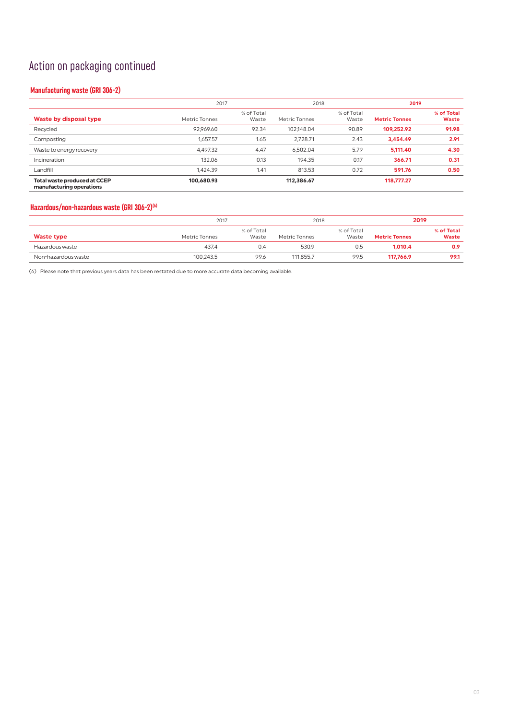## Action on packaging continued

#### **Manufacturing waste (GRI 306-2)**

|                                                                 |               | 2017                |               | 2018                |                      | 2019                       |  |
|-----------------------------------------------------------------|---------------|---------------------|---------------|---------------------|----------------------|----------------------------|--|
| Waste by disposal type                                          | Metric Tonnes | % of Total<br>Waste | Metric Tonnes | % of Total<br>Waste | <b>Metric Tonnes</b> | % of Total<br><b>Waste</b> |  |
| Recycled                                                        | 92.969.60     | 92.34               | 102.148.04    | 90.89               | 109.252.92           | 91.98                      |  |
| Composting                                                      | 1.657.57      | 1.65                | 2.728.71      | 2.43                | 3.454.49             | 2.91                       |  |
| Waste to energy recovery                                        | 4.497.32      | 4.47                | 6.502.04      | 5.79                | 5.111.40             | 4.30                       |  |
| Incineration                                                    | 132.06        | 0.13                | 194.35        | 0.17                | 366.71               | 0.31                       |  |
| Landfill                                                        | 1,424.39      | 1.41                | 813.53        | 0.72                | 591.76               | 0.50                       |  |
| <b>Total waste produced at CCEP</b><br>manufacturing operations | 100.680.93    |                     | 112,386.67    |                     | 118,777.27           |                            |  |

#### **Hazardous/non-hazardous waste (GRI 306-2)(6)**

|                     |               | 2017                |               | 2018                |                      | 2019                       |
|---------------------|---------------|---------------------|---------------|---------------------|----------------------|----------------------------|
| <b>Waste type</b>   | Metric Tonnes | % of Total<br>Waste | Metric Tonnes | % of Total<br>Waste | <b>Metric Tonnes</b> | % of Total<br><b>Waste</b> |
| Hazardous waste     | 437.4         | 0.4                 | 530.9         | 0.5                 | 1.010.4              | 0.9                        |
| Non-hazardous waste | 100,243.5     | 99.6                | 111.855.7     | 99.5                | 117.766.9            | 99.1                       |

(6) Please note that previous years data has been restated due to more accurate data becoming available.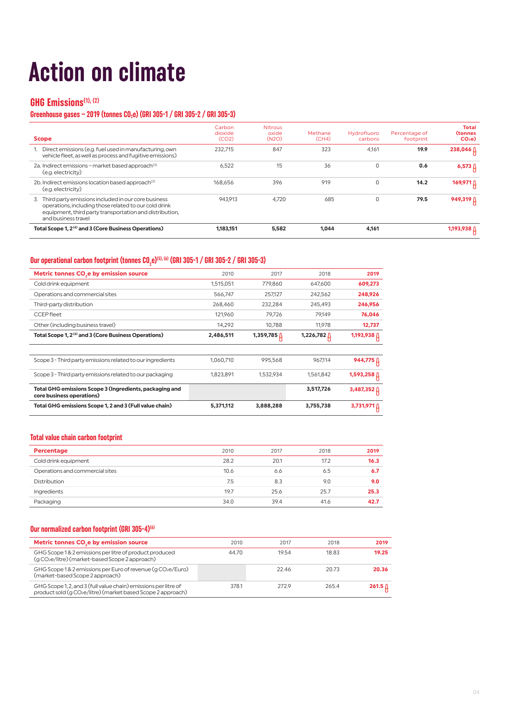# **Action on climate**

## **GHG Emissions(1), (2)**

#### Greenhouse gases – 2019 (tonnes CO<sub>2</sub>e) (GRI 305-1 / GRI 305-2 / GRI 305-3)

| <b>Scope</b>                                                                                                                                                                                         | Carbon<br>dioxide<br>(CO2) | <b>Nitrous</b><br>oxide<br>(N2O) | Methane<br>(CH4) | Hydrofluoro<br>carbons | Percentage of<br>footprint | Total<br><b>(tonnes</b><br>CO <sub>2</sub> e |
|------------------------------------------------------------------------------------------------------------------------------------------------------------------------------------------------------|----------------------------|----------------------------------|------------------|------------------------|----------------------------|----------------------------------------------|
| 1. Direct emissions (e.g. fuel used in manufacturing, own<br>vehicle fleet, as well as process and fugitive emissions)                                                                               | 232.715                    | 847                              | 323              | 4.161                  | 19.9                       | 238,046 A                                    |
| 2a. Indirect emissions - market based approach <sup>(3)</sup><br>(e.g. electricity)                                                                                                                  | 6.522                      | 15                               | 36               |                        | 0.6                        | $6,573$ $\uparrow$                           |
| 2b. Indirect emissions location based approach <sup>(3)</sup><br>(e.g. electricity)                                                                                                                  | 168.656                    | 396                              | 919              | $\Omega$               | 14.2                       |                                              |
| Third party emissions included in our core business<br>3.<br>operations, including those related to our cold drink<br>equipment, third party transportation and distribution,<br>and business travel | 943.913                    | 4.720                            | 685              | $\Omega$               | 79.5                       | 949,319 A                                    |
| Total Scope 1, 2 <sup>(4)</sup> and 3 (Core Business Operations)                                                                                                                                     | 1,183,151                  | 5,582                            | 1.044            | 4.161                  |                            | 1,193,938 A                                  |

### Our operational carbon footprint (tonnes CO<sub>2</sub>e)<sup>(5), (6)</sup> (GRI 305-1 / GRI 305-2 / GRI 305-3)

| 2010      | 2017      | 2018               | 2019            |
|-----------|-----------|--------------------|-----------------|
| 1,515,051 | 779.860   | 647,600            | 609,273         |
| 566,747   | 257,127   | 242,562            | 248,926         |
| 268,460   | 232,284   | 245,493            | 246,956         |
| 121,960   | 79,726    | 79,149             | 76,046          |
| 14,292    | 10,788    | 11.978             | 12,737          |
| 2,486,511 |           | 1,226,782 <u>[</u> |                 |
|           |           |                    |                 |
| 1.060.710 | 995.568   | 967.114            | 944,775         |
| 1,823,891 | 1,532,934 | 1,561,842          | 1,593,258 ∐     |
|           |           | 3,517,726          | 3,487,352 $\mu$ |
| 5,371,112 | 3,888,288 | 3,755,738          | 3,731,971       |
|           |           |                    |                 |

#### **Total value chain carbon footprint**

| Percentage                      | 2010 | 2017 | 2018 | 2019 |
|---------------------------------|------|------|------|------|
| Cold drink equipment            | 28.2 | 20.1 | 17.2 | 16.3 |
| Operations and commercial sites | 10.6 | 6.6  | 6.5  | 6.7  |
| Distribution                    | 7.5  | 8.3  | 9.0  | 9.0  |
| Ingredients                     | 19.7 | 25.6 | 25.7 | 25.3 |
| Packaging                       | 34.0 | 39.4 | 41.6 | 42.7 |

#### **Our normalized carbon footprint (GRI 305-4)(6)**

| Metric tonnes CO <sub>s</sub> e by emission source                                                                                         | 2010  | 2017  | 2018  | 2019               |
|--------------------------------------------------------------------------------------------------------------------------------------------|-------|-------|-------|--------------------|
| GHG Scope 1& 2 emissions per litre of product produced<br>(g CO <sub>2</sub> e/litre) (market-based Scope 2 approach)                      | 44.70 | 1954  | 18.83 | 19.25              |
| GHG Scope 1 & 2 emissions per Euro of revenue (g CO2e/Euro)<br>(market-based Scope 2 approach)                                             |       | 22.46 | 20.73 | 20.36              |
| GHG Scope 1.2, and 3 (full value chain) emissions per litre of<br>product sold (g CO <sub>2</sub> e/litre) (market based Scope 2 approach) | 378.1 | 2729  | 265.4 | 261.5 <sub>0</sub> |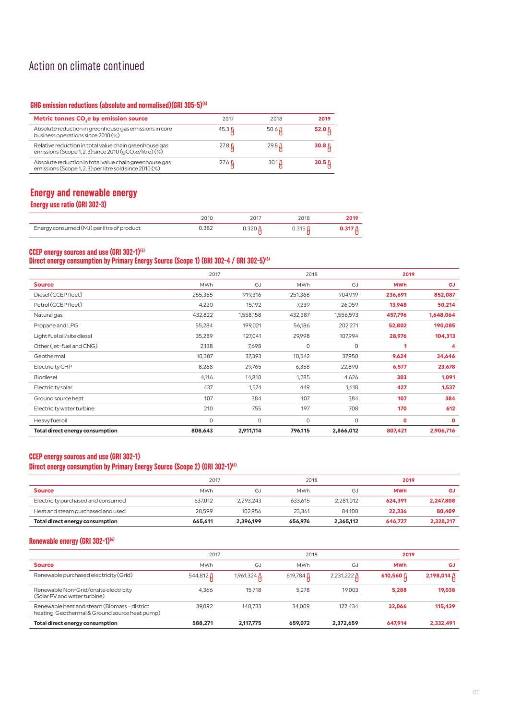## Action on climate continued

#### **GHG emission reductions (absolute and normalised)(GRI 305-5)(6)**

| Metric tonnes CO <sub>s</sub> e by emission source                                                                              | 2017         | 2018         | 2019              |
|---------------------------------------------------------------------------------------------------------------------------------|--------------|--------------|-------------------|
| Absolute reduction in greenhouse gas emissions in core<br>business operations since 2010 (%)                                    | $45.3 \,\mu$ | 50.6 $\beta$ | 52.0 <u>A</u>     |
| Relative reduction in total value chain greenhouse gas<br>emissions (Scope 1, 2, 3) since $2010$ (gCO <sub>2</sub> e/litre) (%) | $27.8 \,\mu$ | $29.8 \mu$   | 30.8 <sub>0</sub> |
| Absolute reduction in total value chain greenhouse gas<br>emissions (Scope 1, 2, 3) per litre sold since 2010 (%)               | $27.6 \,\mu$ | $30.1 \,\mu$ | 30.5 <sub>0</sub> |

### **Energy and renewable energy Energy use ratio (GRI 302-3)**

|                                           | 2010  | 2018 | :019 |
|-------------------------------------------|-------|------|------|
| Energy consumed (MJ) per litre of product | 1.382 |      |      |

#### **CCEP energy sources and use (GRI 302-1)(6)**

#### **Direct energy consumption by Primary Energy Source (Scope 1) (GRI 302-4 / GRI 302-5)(6)**

|                                 | 2017       |           | 2018       |           | 2019       |              |
|---------------------------------|------------|-----------|------------|-----------|------------|--------------|
| <b>Source</b>                   | <b>MWh</b> | GJ        | <b>MWh</b> | GJ        | <b>MWh</b> | <b>GJ</b>    |
| Diesel (CCEP fleet)             | 255,365    | 919,316   | 251,366    | 904,919   | 236,691    | 852,087      |
| Petrol (CCEP fleet)             | 4,220      | 15,192    | 7,239      | 26,059    | 13,948     | 50,214       |
| Natural gas                     | 432,822    | 1,558,158 | 432,387    | 1,556,593 | 457,796    | 1,648,064    |
| Propane and LPG                 | 55,284     | 199,021   | 56,186     | 202,271   | 52,802     | 190,085      |
| Light fuel oil/site diesel      | 35,289     | 127,041   | 29,998     | 107,994   | 28,976     | 104,313      |
| Other (jet-fuel and CNG)        | 2,138      | 7,698     | 0          | 0         | 1          | 4            |
| Geothermal                      | 10,387     | 37,393    | 10,542     | 37,950    | 9,624      | 34,646       |
| Electricity CHP                 | 8,268      | 29,765    | 6,358      | 22,890    | 6,577      | 23,678       |
| <b>Biodiesel</b>                | 4,116      | 14,818    | 1,285      | 4,626     | 303        | 1,091        |
| Electricity solar               | 437        | 1,574     | 449        | 1,618     | 427        | 1,537        |
| Ground source heat              | 107        | 384       | 107        | 384       | 107        | 384          |
| Electricity water turbine       | 210        | 755       | 197        | 708       | 170        | 612          |
| Heavy fuel oil                  | 0          | 0         | 0          | 0         | 0          | $\mathbf{0}$ |
| Total direct energy consumption | 808,643    | 2,911,114 | 796,115    | 2,866,012 | 807,421    | 2,906,716    |

#### **CCEP energy sources and use (GRI 302-1)**

#### **Direct energy consumption by Primary Energy Source (Scope 2) (GRI 302-1)<sup>(6)</sup>**

|                                    | 2017       |           |            | 2018      |            | 2019      |  |
|------------------------------------|------------|-----------|------------|-----------|------------|-----------|--|
| <b>Source</b>                      | <b>MWh</b> | GJ        | <b>MWh</b> | GJ        | <b>MWh</b> | GJ        |  |
| Electricity purchased and consumed | 637.012    | 2.293.243 | 633.615    | 2.281.012 | 624.391    | 2.247.808 |  |
| Heat and steam purchased and used  | 28.599     | 102.956   | 23.361     | 84.100    | 22,336     | 80,409    |  |
| Total direct energy consumption    | 665.611    | 2.396.199 | 656,976    | 2.365.112 | 646.727    | 2,328,217 |  |

#### **Renewable energy (GRI 302-1)(6)**

|                                                                                                | 2017             |             | 2018       |                      | 2019               |             |
|------------------------------------------------------------------------------------------------|------------------|-------------|------------|----------------------|--------------------|-------------|
| <b>Source</b>                                                                                  | <b>MWh</b>       | GJ          | <b>MWh</b> | G.                   | <b>MWh</b>         | GJ          |
| Renewable purchased electricity (Grid)                                                         | 544,812 $\Delta$ | 1,961,324 A | 619,784 A  | $2,231,222$ $\Delta$ | 610,560 $\,\Delta$ | 2,198,014 ∆ |
| Renewable Non-Grid/onsite electricity<br>(Solar PV and water turbine)                          | 4.366            | 15.718      | 5.278      | 19.003               | 5.288              | 19.038      |
| Renewable heat and steam (Biomass - district<br>heating, Geothermal & Ground source heat pump) | 39.092           | 140.733     | 34.009     | 122.434              | 32.066             | 115,439     |
| Total direct energy consumption                                                                | 588,271          | 2,117,775   | 659.072    | 2,372,659            | 647.914            | 2,332,491   |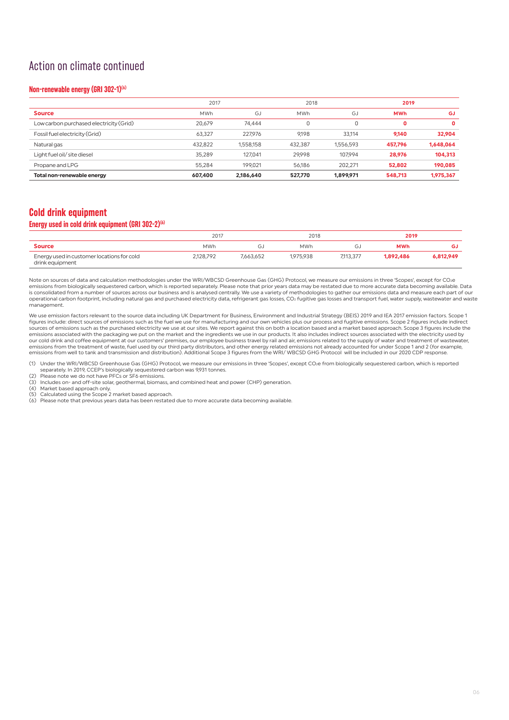## Action on climate continued

#### **Non-renewable energy (GRI 302-1)(6)**

|                                         | 2017       |           | 2018       |           | 2019       |           |
|-----------------------------------------|------------|-----------|------------|-----------|------------|-----------|
| <b>Source</b>                           | <b>MWh</b> | GJ        | <b>MWh</b> | GJ        | <b>MWh</b> | GJ        |
| Low carbon purchased electricity (Grid) | 20.679     | 74.444    | 0          |           | 0          | 0         |
| Fossil fuel electricity (Grid)          | 63.327     | 227.976   | 9.198      | 33.114    | 9.140      | 32,904    |
| Natural gas                             | 432,822    | 1.558.158 | 432.387    | 1,556,593 | 457,796    | 1,648,064 |
| Light fuel oil/ site diesel             | 35.289     | 127.041   | 29.998     | 107.994   | 28,976     | 104,313   |
| Propane and LPG                         | 55.284     | 199.021   | 56.186     | 202.271   | 52,802     | 190,085   |
| Total non-renewable energy              | 607,400    | 2.186.640 | 527,770    | 1,899,971 | 548,713    | 1,975,367 |

### **Cold drink equipment**

#### **Energy used in cold drink equipment (GRI 302-2)(6)**

|                                                               | 2017       |           | 2018       |           | 2019       |           |
|---------------------------------------------------------------|------------|-----------|------------|-----------|------------|-----------|
| <b>Source</b>                                                 | <b>MWh</b> | ر جا      | <b>MWh</b> | ίJ.       | <b>MWh</b> | GJ        |
| Energy used in customer locations for cold<br>drink equipment | 2.128.792  | 7.663.652 | 1.975.938  | 7.113.377 | 1.892.486  | 6.812.949 |

Note on sources of data and calculation methodologies under the WRI/WBCSD Greenhouse Gas (GHG) Protocol, we measure our emissions in three 'Scopes', except for CO2e emissions from biologically sequestered carbon, which is reported separately. Please note that prior years data may be restated due to more accurate data becoming available. Data<br>is consolidated from a number of sources ac operational carbon footprint, including natural gas and purchased electricity data, refrigerant gas losses, CO2 fugitive gas losses and transport fuel, water supply, wastewater and waste management.

We use emission factors relevant to the source data including UK Department for Business, Environment and Industrial Strategy (BEIS) 2019 and IEA 2017 emission factors. Scope 1<br>figures include: direct sources of emissions sources of emissions such as the purchased electricity we use at our sites. We report against this on both a location based and a market based approach. Scope 3 figures include the<br>emissions associated with the packaging w our cold drink and coffee equipment at our customers' premises, our employee business travel by rail and air, emissions related to the supply of water and treatment of wastewater, emissions from the treatment of waste, fuel used by our third party distributors, and other energy related emissions not already accounted for under Scope 1 and 2 (for example,<br>emissions from well to tank and transmission

(1) Under the WRI/WBCSD Greenhouse Gas (GHG) Protocol, we measure our emissions in three 'Scopes', except CO2e from biologically sequestered carbon, which is reported separately. In 2019, CCEP's biologically sequestered carbon was 9,931 tonnes.

(2) Please note we do not have PFCs or SF6 emissions. (3) Includes on- and off-site solar, geothermal, biomass, and combined heat and power (CHP) generation.

(4) Market based approach only. (5) Calculated using the Scope 2 market based approach.

(6) Please note that previous years data has been restated due to more accurate data becoming available.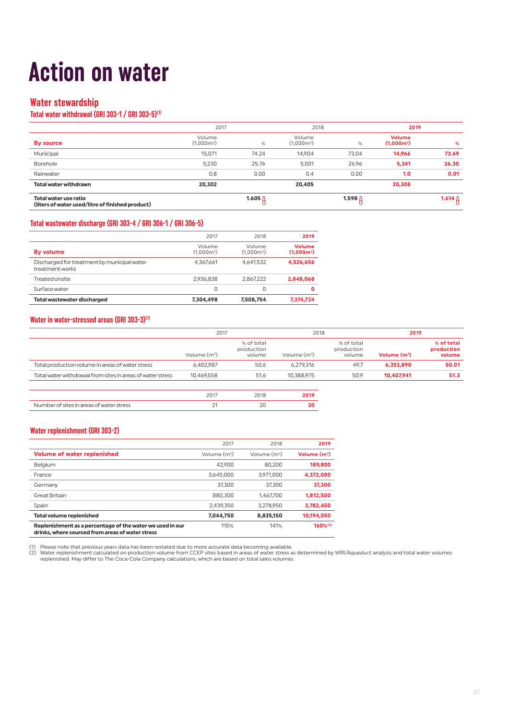# **Action on water**

### **Water stewardship**

#### **Total water withdrawal (GRI 303-1 / GRI 303-5)(1)**

|                                                                           | 2017                   |           | 2018                   |                    | 2019                          |                 |
|---------------------------------------------------------------------------|------------------------|-----------|------------------------|--------------------|-------------------------------|-----------------|
| By source                                                                 | Volume<br>$(1,000m^3)$ | %         | Volume<br>$(1,000m^3)$ | %                  | <b>Volume</b><br>$(1,000m^3)$ | %               |
| Municipal                                                                 | 15,071                 | 74.24     | 14.904                 | 73.04              | 14,966                        | 73.69           |
| Borehole                                                                  | 5,230                  | 25.76     | 5,501                  | 26.96              | 5,341                         | 26.30           |
| Rainwater                                                                 | 0.8                    | 0.00      | 0.4                    | 0.00               | 1.0                           | 0.01            |
| <b>Total water withdrawn</b>                                              | 20,302                 |           | 20,405                 |                    | 20,308                        |                 |
| Total water use ratio<br>(liters of water used/litre of finished product) |                        | 1.605 $D$ |                        | 1.598 <sub>0</sub> |                               | 1.614 $\Lambda$ |

#### **Total wastewater discharge (GRI 303-4 / GRI 306-1 / GRI 306-5)**

| <b>Total wastewater discharged</b>                             | 7,304,498              | 7,508,754              | 7,374,724                                           |
|----------------------------------------------------------------|------------------------|------------------------|-----------------------------------------------------|
| Surface water                                                  | 0                      | 0                      | 0                                                   |
| Treated onsite                                                 | 2.936.838              | 2.867.222              | 2.848.068                                           |
| Discharged for treatment by municipal water<br>treatment works | 4,367,661              | 4.641.532              | 4,526,656                                           |
| By volume                                                      | Volume<br>$(1.000m^3)$ | Volume<br>$(1.000m^3)$ | <b>Volume</b><br>(1.000 <sub>m</sub> <sup>3</sup> ) |
|                                                                | 2017                   | 2018                   | 2019                                                |
|                                                                |                        |                        |                                                     |

#### **Water in water-stressed areas (GRI 303-3)(1)**

|                                                            | 2017           |                                    | 2018           |                                    | 2019           |                                    |
|------------------------------------------------------------|----------------|------------------------------------|----------------|------------------------------------|----------------|------------------------------------|
|                                                            | Volume $(m^3)$ | % of total<br>production<br>volume | Volume $(m^3)$ | % of total<br>production<br>volume | Volume $(m^3)$ | % of total<br>production<br>volume |
| Total production volume in areas of water stress           | 6.402.987      | 50.6                               | 6.279.316      | 49.7                               | 6.353.890      | 50.01                              |
| Total water withdrawal from sites in areas of water stress | 10.469.558     | 51.6                               | 10.388.975     | 50.9                               | 10.407.941     | 51.3                               |

|                                          | 018 | 201' |
|------------------------------------------|-----|------|
| Number of sites in areas of water stress |     |      |

#### **Water replenishment (GRI 303-2)**

|                                                                                                               | 2017           | 2018           | 2019           |
|---------------------------------------------------------------------------------------------------------------|----------------|----------------|----------------|
| <b>Volume of water replenished</b>                                                                            | Volume $(m^3)$ | Volume $(m^3)$ | Volume $(m^3)$ |
| <b>Belgium</b>                                                                                                | 42.900         | 80.200         | 189,800        |
| France                                                                                                        | 3.645.000      | 3.971.000      | 4,372,000      |
| Germany                                                                                                       | 37.300         | 37,300         | 37,300         |
| Great Britain                                                                                                 | 880.300        | 1.467.700      | 1,812,500      |
| Spain                                                                                                         | 2.439.350      | 3.278.950      | 3,782,450      |
| <b>Total volume replenished</b>                                                                               | 7.044.750      | 8.835.150      | 10,194,050     |
| Replenishment as a percentage of the water we used in our<br>drinks, where sourced from areas of water stress | 110%           | 141%           | $160%^{(2)}$   |

(1) Please note that previous years data has been restated due to more accurate data becoming available.<br>(2) Water replenishment calculated on production volume from CCEP sites based in areas of water stress as determined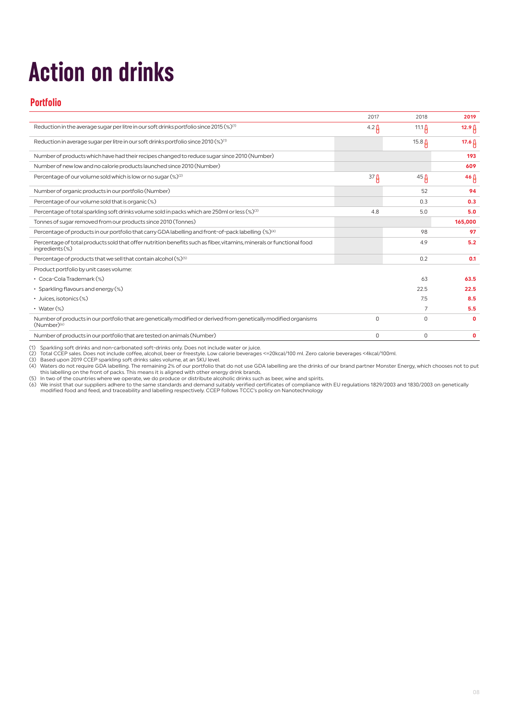# **Action on drinks**

### **Portfolio**

|                                                                                                                                             | 2017             | 2018              | 2019              |
|---------------------------------------------------------------------------------------------------------------------------------------------|------------------|-------------------|-------------------|
| Reduction in the average sugar per litre in our soft drinks portfolio since 2015 (%) <sup>(1)</sup>                                         | $4.2 \beta$      | 11.1 $\beta$      | 12.9 <sub>0</sub> |
| Reduction in average sugar per litre in our soft drinks portfolio since 2010 $\left(\% \right)^{\left(\prime\right)}$                       |                  | 15.8 <sub>0</sub> | 17.6 $\beta$      |
| Number of products which have had their recipes changed to reduce sugar since 2010 (Number)                                                 |                  |                   | 193               |
| Number of new low and no calorie products launched since 2010 (Number)                                                                      |                  |                   | 609               |
| Percentage of our volume sold which is low or no sugar (%) <sup>(2)</sup>                                                                   | 37 <sub>fl</sub> | $45 \beta$        | $46 \upbeta$      |
| Number of organic products in our portfolio (Number)                                                                                        |                  | 52                | 94                |
| Percentage of our volume sold that is organic (%)                                                                                           |                  | 0.3               | 0.3               |
| Percentage of total sparkling soft drinks volume sold in packs which are 250ml or less $(\%)^{(3)}$                                         | 4.8              | 5.0               | 5.0               |
| Tonnes of sugar removed from our products since 2010 (Tonnes)                                                                               |                  |                   | 165,000           |
| Percentage of products in our portfolio that carry GDA labelling and front-of-pack labelling (%) <sup>(4)</sup>                             |                  | 98                | 97                |
| Percentage of total products sold that offer nutrition benefits such as fiber, vitamins, minerals or functional food<br>ingredients (%)     |                  | 4.9               | 5.2               |
| Percentage of products that we sell that contain alcohol (%) <sup>(5)</sup>                                                                 |                  | 0.2               | 0.1               |
| Product portfolio by unit cases volume:                                                                                                     |                  |                   |                   |
| • Coca-Cola Trademark (%)                                                                                                                   |                  | 63                | 63.5              |
| • Sparkling flavours and energy (%)                                                                                                         |                  | 22.5              | 22.5              |
| • Juices, isotonics (%)                                                                                                                     |                  | 7.5               | 8.5               |
| • Water $(\%)$                                                                                                                              |                  | 7                 | 5.5               |
| Number of products in our portfolio that are genetically modified or derived from genetically modified organisms<br>(Number) <sup>(6)</sup> | U                | $\Omega$          | 0                 |
| Number of products in our portfolio that are tested on animals (Number)                                                                     | 0                | $\Omega$          | 0                 |

(1) Sparkling soft drinks and non-carbonated soft-drinks only. Does not include water or juice.<br>(2) Total CCEP sales. Does not include (e. alcohol, beer or freestyle. Low calorie beverages <=20kcal/100 ml. Zero calorie bev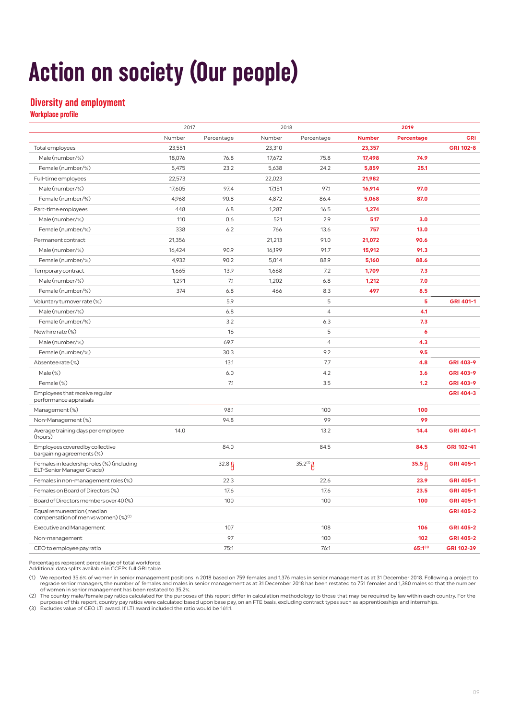# **Action on society (Our people)**

### **Diversity and employment**

**Workplace profile**

|                                                                                |        | 2017       |        | 2018           |               | 2019                |            |
|--------------------------------------------------------------------------------|--------|------------|--------|----------------|---------------|---------------------|------------|
|                                                                                | Number | Percentage | Number | Percentage     | <b>Number</b> | Percentage          | GRI        |
| Total employees                                                                | 23,551 |            | 23,310 |                | 23,357        |                     | GRI 102-8  |
| Male (number/%)                                                                | 18,076 | 76.8       | 17,672 | 75.8           | 17,498        | 74.9                |            |
| Female (number/%)                                                              | 5,475  | 23.2       | 5,638  | 24.2           | 5,859         | 25.1                |            |
| Full-time employees                                                            | 22,573 |            | 22,023 |                | 21,982        |                     |            |
| Male (number/%)                                                                | 17,605 | 97.4       | 17,151 | 97.1           | 16,914        | 97.0                |            |
| Female (number/%)                                                              | 4,968  | 90.8       | 4,872  | 86.4           | 5,068         | 87.0                |            |
| Part-time employees                                                            | 448    | 6.8        | 1,287  | 16.5           | 1,274         |                     |            |
| Male (number/%)                                                                | 110    | 0.6        | 521    | 2.9            | 517           | 3.0                 |            |
| Female (number/%)                                                              | 338    | 6.2        | 766    | 13.6           | 757           | 13.0                |            |
| Permanent contract                                                             | 21,356 |            | 21,213 | 91.0           | 21,072        | 90.6                |            |
| Male (number/%)                                                                | 16,424 | 90.9       | 16,199 | 91.7           | 15,912        | 91.3                |            |
| Female (number/%)                                                              | 4,932  | 90.2       | 5,014  | 88.9           | 5,160         | 88.6                |            |
| Temporary contract                                                             | 1,665  | 13.9       | 1,668  | 7.2            | 1,709         | 7.3                 |            |
| Male (number/%)                                                                | 1,291  | 7.1        | 1,202  | 6.8            | 1,212         | 7.0                 |            |
| Female (number/%)                                                              | 374    | 6.8        | 466    | 8.3            | 497           | 8.5                 |            |
| Voluntary turnover rate (%)                                                    |        | 5.9        |        | 5              |               | $5\phantom{a}$      | GRI 401-1  |
| Male (number/%)                                                                |        | 6.8        |        | $\overline{4}$ |               | 4.1                 |            |
| Female (number/%)                                                              |        | 3.2        |        | 6.3            |               | 7.3                 |            |
| New hire rate (%)                                                              |        | 16         |        | 5              |               | $\ddot{\mathbf{6}}$ |            |
| Male (number/%)                                                                |        | 69.7       |        | $\overline{4}$ |               | 4.3                 |            |
| Female (number/%)                                                              |        | 30.3       |        | 9.2            |               | 9.5                 |            |
| Absentee rate (%)                                                              |        | 13.1       |        | 7.7            |               | 4.8                 | GRI 403-9  |
| $Male$ $%$                                                                     |        | 6.0        |        | 4.2            |               | 3.6                 | GRI 403-9  |
| Female (%)                                                                     |        | 7.1        |        | 3.5            |               | 1.2                 | GRI 403-9  |
| Employees that receive regular<br>performance appraisals                       |        |            |        |                |               |                     | GRI 404-3  |
| Management (%)                                                                 |        | 98.1       |        | 100            |               | 100                 |            |
| Non-Management (%)                                                             |        | 94.8       |        | 99             |               | 99                  |            |
| Average training days per employee<br>(hours)                                  | 14.0   |            |        | 13.2           |               | 14.4                | GRI 404-1  |
| Employees covered by collective<br>bargaining agreements (%)                   |        | 84.0       |        | 84.5           |               | 84.5                | GRI 102-41 |
| Females in leadership roles (%) (including<br>ELT-Senior Manager Grade)        |        | $32.8 \mu$ |        | $35.2^{(1)}$   |               | 35.5 <sub>0</sub>   | GRI 405-1  |
| Females in non-management roles (%)                                            |        | 22.3       |        | 22.6           |               | 23.9                | GRI 405-1  |
| Females on Board of Directors (%)                                              |        | 17.6       |        | 17.6           |               | 23.5                | GRI 405-1  |
| Board of Directors members over 40 (%)                                         |        | 100        |        | 100            |               | 100                 | GRI 405-1  |
| Equal remuneration (median<br>compensation of men vs women) (%) <sup>(2)</sup> |        |            |        |                |               |                     | GRI 405-2  |
| <b>Executive and Management</b>                                                |        | 107        |        | 108            |               | 106                 | GRI 405-2  |
| Non-management                                                                 |        | 97         |        | 100            |               | 102                 | GRI 405-2  |
| CEO to employee pay ratio                                                      |        | 75:1       |        | 76:1           |               | $65:1^{(3)}$        | GRI 102-39 |

Percentages represent percentage of total workforce.

Additional data splits available in CCEPs full GRI table

1) We reported 35.6% of women in senior management positions in 2018 based on 759 females and 1,376 males in senior management as at 31 December 2018. Following a project to<br>regrade senior managers, the number of females a of women in senior management has been restated to 35.2%.

(2) The country male/female pay ratios calculated for the purposes of this report differ in calculation methodology to those that may be required by law within each country. For the<br>purposes of this report, country pay rat

(3) Excludes value of CEO LTI award. If LTI award included the ratio would be 161:1.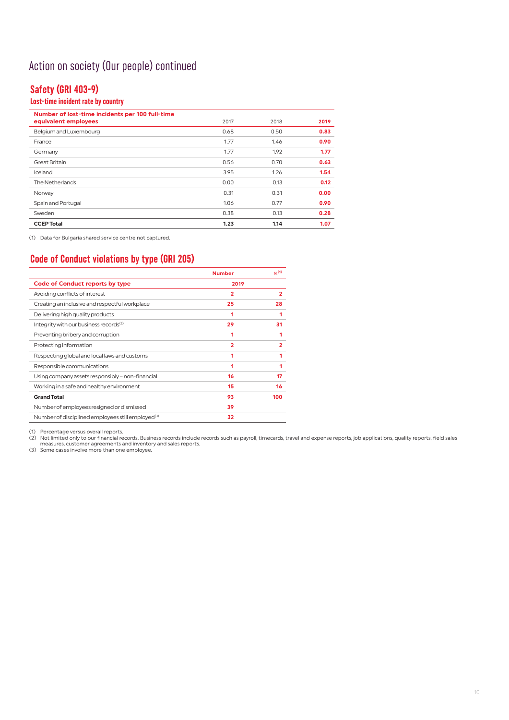## Action on society (Our people) continued

## **Safety (GRI 403-9)**

### **Lost-time incident rate by country**

| Number of lost-time incidents per 100 full-time |      |      |      |
|-------------------------------------------------|------|------|------|
| equivalent employees                            | 2017 | 2018 | 2019 |
| Belgium and Luxembourg                          | 0.68 | 0.50 | 0.83 |
| France                                          | 1.77 | 1.46 | 0.90 |
| Germany                                         | 1.77 | 1.92 | 1.77 |
| Great Britain                                   | 0.56 | 0.70 | 0.63 |
| Iceland                                         | 3.95 | 1.26 | 1.54 |
| The Netherlands                                 | 0.00 | 0.13 | 0.12 |
| Norway                                          | 0.31 | 0.31 | 0.00 |
| Spain and Portugal                              | 1.06 | 0.77 | 0.90 |
| Sweden                                          | 0.38 | 0.13 | 0.28 |
| <b>CCEP Total</b>                               | 1.23 | 1.14 | 1.07 |

(1) Data for Bulgaria shared service centre not captured.

## **Code of Conduct violations by type (GRI 205)**

|                                                               | <b>Number</b>  | %(1) |
|---------------------------------------------------------------|----------------|------|
| <b>Code of Conduct reports by type</b>                        | 2019           |      |
| Avoiding conflicts of interest                                | 2              | 2    |
| Creating an inclusive and respectful workplace                | 25             | 28   |
| Delivering high quality products                              | 1              | 1    |
| Integrity with our business records <sup>(2)</sup>            | 29             | 31   |
| Preventing bribery and corruption                             | 1              | 1    |
| Protecting information                                        | $\overline{2}$ | 2    |
| Respecting global and local laws and customs                  | 1              | 1    |
| Responsible communications                                    | 1              |      |
| Using company assets responsibly - non-financial              | 16             | 17   |
| Working in a safe and healthy environment                     | 15             | 16   |
| <b>Grand Total</b>                                            | 93             | 100  |
| Number of employees resigned or dismissed                     | 39             |      |
| Number of disciplined employees still employed <sup>(3)</sup> | 32             |      |

(1) Percentage versus overall reports.

(2) Not limited only to our financial records. Business records include records such as payroll, timecards, travel and expense reports, job applications, quality reports, field sales<br>measures, customer agreements and inven